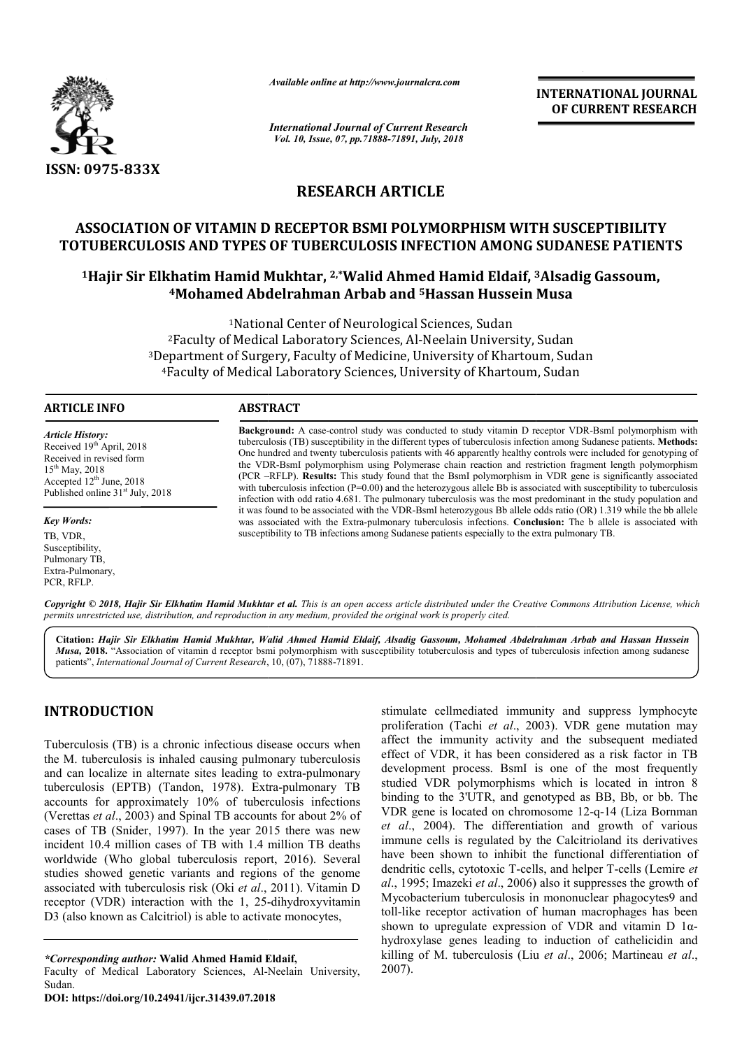

*Available online at http://www.journalcra.com*

*International Journal of Current Research Vol. 10, Issue, 07, pp.71888-71891, July, 2018*

**INTERNATIONAL JOURNAL OF CURRENT RESEARCH**

# **RESEARCH ARTICLE**

# **ASSOCIATION OF VITAMIN D RECEPTOR BSMI POLYMORPHISM WITH SUSCEPTIBILITY TOTUBERCULOSIS AND TYPES OF TUBERCULOSIS INFECTION AMONG SUDANESE PATIENTS** ASSOCIATION OF VITAMIN D RECEPTOR BSMI POLYMORPHISM WITH SUSCEPTIBILITY<br>TUBERCULOSIS AND TYPES OF TUBERCULOSIS INFECTION AMONG SUDANESE PATIENT<br><sup>1</sup>Hajir Sir Elkhatim Hamid Mukhtar, <sup>2,\*</sup>Walid Ahmed Hamid Eldaif, <sup>3</sup>Alsadig

# **4Mohamed Abdelrahman Arbab and Mohamed 5Hassan Hussein Musa Hassan Hussein**

1National Center of Neurological Sciences, Sudan 2Faculty of Medical Laboratory Sciences, Al National Faculty Al-Neelain University, Sudan <sup>2</sup> Faculty of Medical Laboratory Sciences, Al-Neelain University, Sudan<sup>3</sup>Department of Surgery, Faculty of Medicine, University of Khartoum, Sudan <sup>4</sup>Faculty of Medical Laboratory Sciences, University of Khartoum, Sudan

#### **ARTICLE INFO ABSTRACT**

*Article History:* Received 19<sup>th</sup> April, 2018 Received in revised form 15<sup>th</sup> May, 2018 Accepted  $12<sup>th</sup>$  June, 2018 Published online 31<sup>st</sup> July, 2018

*Key Words:*

TB, VDR, Susceptibility, Pulmonary TB, Extra-Pulmonary, PCR, RFLP.

Background: A case-control study was conducted to study vitamin D receptor VDR-BsmI polymorphism with tuberculosis (TB) susceptibility in the different types of tuberculosis infection among Sudanese patients. Methods: One hundred and twenty tuberculosis patients with 46 apparently healthy controls were included for genotyping of the VDR VDR-BsmI polymorphism using Polymerase chain reaction and restriction fragment length polymorphism (PCR – –RFLP). **Results:** This study found that the BsmI polymorphism in VDR gene is significantly associated with tuberculosis infection  $(P=0.00)$  and the heterozygous allele Bb is associated with susceptibility to tuberculosis infection with odd ratio 4.681. The pulmonary tuberculosis was the most predominant in the study population and it was found to be associated with the VDR-BsmI heterozygous Bb allele odds ratio was associated with the Extra-pulmonary tuberculosis infections. **Conclusion:** The b allele is associated with susceptibility to TB infections among Sudanese patients especially to the extra pulmonary TB. One hundred and twenty tuberculosis patients with 46 apparently healthy controls were included for genotyping of the VDR-BsmI polymorphism using Polymerase chain reaction and restriction fragment length polymorphism (PCR –

Copyright © 2018, Hajir Sir Elkhatim Hamid Mukhtar et al. This is an open access article distributed under the Creative Commons Attribution License, which permits unrestricted use, distribution, and reproduction in any medium, provided the original work is properly cited.

**Citation:** *Hajir Sir Elkhatim Hamid Mukhtar, Walid Ahmed Hamid Eldaif, Alsadig Gassoum, Mohamed Abdelrahman Arbab and Hassan Hussein Ahmed and Hassan Musa*, 2018. "Association of vitamin d receptor bsmi polymorphism with susceptibility totuberculosis and types of tuberculosis infection among sudanese patients", *International Journal of Current Research*, 10, (07), 71888-71891.

## **INTRODUCTION**

Tuberculosis (TB) is a chronic infectious disease occurs when the M. tuberculosis is inhaled causing pulmonary tuberculosis and can localize in alternate sites leading to extra-pulmonary tuberculosis (EPTB) (Tandon, 1978). Extra-pulmonary TB accounts for approximately 10% of tuberculosis infections (Verettas *et al*., 2003) and Spinal TB accounts for about 2% of cases of TB (Snider, 1997). In the year 2015 there was new incident 10.4 million cases of TB with 1.4 million TB deaths worldwide (Who global tuberculosis report, 2016). Several studies showed genetic variants and regions of the genome studies showed genetic variants and regions of the genome associated with tuberculosis risk (Oki *et al.*, 2011). Vitamin D receptor (VDR) interaction with the 1, 25-dihydroxyvitamin D3 (also known as Calcitriol) is able to activate monocytes,

stimulate cellmediated immunity and suppress lymphocyte<br>
arise occurs when<br>
arifect the immunity activity and the subsequent mediated<br> **pulmonary tuberculosis**<br>
certed of VDR, it has been considered as a risk factor in TB<br> stimulate cellmediated immunity and suppress lymphocyte proliferation (Tachi *et al.*, 2003). VDR gene mutation may affect the immunity activity and the subsequent mediated effect of VDR, it has been considered as a risk factor in TB development process. BsmI is one of the most frequently studied VDR polymorphisms which is located in intron 8 affect the immunity activity and the subsequent mediated effect of VDR, it has been considered as a risk factor in TB development process. BsmI is one of the most frequently studied VDR polymorphisms which is located in in VDR gene is located on chromosome 12 12-q-14 (Liza Bornman *et al*., 2004). The differentiation and growth of various  $et$   $al., 2004$ ). The differentiation and growth of various immune cells is regulated by the Calcitrioland its derivatives have been shown to inhibit the functional differentiation of have been shown to inhibit the functional differentiation of dendritic cells, cytotoxic T-cells, and helper T-cells (Lemire *et al*., 1995; Imazeki *et al*., 2006) ) also it suppresses the growth of Mycobacterium tuberculosis in mononuclear phagocytes9 and toll-like receptor activation of human macrophages has been shown to upregulate expression of VDR and vitamin D  $1\alpha$ hydroxylase genes leading to induction of cathelicidin and killing of M. tuberculosis (Liu et al., 2006; Martineau et al., 2007). Mycobacterium tuberculosis in mononuclear phagocytes9 and toll-like receptor activation of human macrophages has been shown to upregulate expression of VDR and vitamin D  $1\alpha$ -

*<sup>\*</sup>Corresponding author:* **Walid Ahmed Hamid Eldaif,** 

Faculty of Medical Laboratory Sciences, Al-Neelain University, Sudan.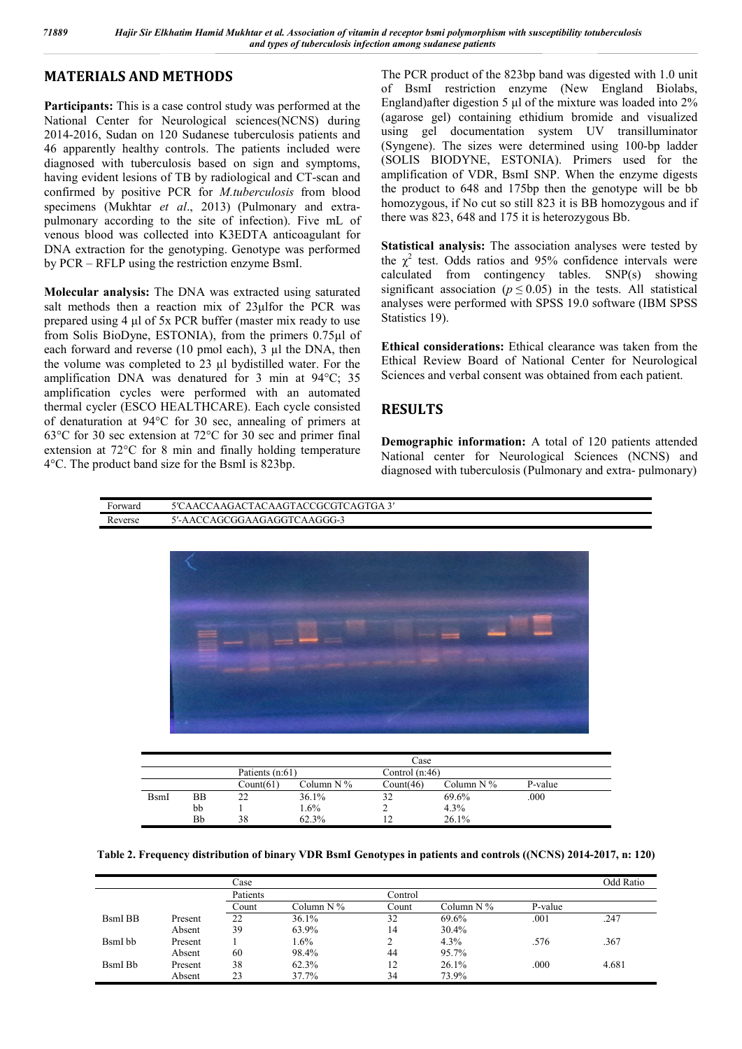### **MATERIALS AND METHODS**

**Participants:** This is a case control study was performed at the National Center for Neurological sciences(NCNS) during 2014-2016, Sudan on 120 Sudanese tuberculosis patients and 46 apparently healthy controls. The patients included were diagnosed with tuberculosis based on sign and symptoms, having evident lesions of TB by radiological and CT-scan and confirmed by positive PCR for *M.tuberculosis* from blood specimens (Mukhtar *et al*., 2013) (Pulmonary and extrapulmonary according to the site of infection). Five mL of venous blood was collected into K3EDTA anticoagulant for DNA extraction for the genotyping. Genotype was performed by PCR – RFLP using the restriction enzyme BsmI.

**Molecular analysis:** The DNA was extracted using saturated salt methods then a reaction mix of 23μlfor the PCR was prepared using 4 μl of 5x PCR buffer (master mix ready to use from Solis BioDyne, ESTONIA), from the primers 0.75µl of each forward and reverse (10 pmol each), 3 µl the DNA, then the volume was completed to 23 µl bydistilled water. For the amplification DNA was denatured for 3 min at 94°C; 35 amplification cycles were performed with an automated thermal cycler (ESCO HEALTHCARE). Each cycle consisted of denaturation at 94°C for 30 sec, annealing of primers at 63°C for 30 sec extension at 72°C for 30 sec and primer final extension at 72°C for 8 min and finally holding temperature 4°C. The product band size for the BsmI is 823bp.

The PCR product of the 823bp band was digested with 1.0 unit of BsmI restriction enzyme (New England Biolabs, England)after digestion 5 μl of the mixture was loaded into 2% (agarose gel) containing ethidium bromide and visualized using gel documentation system UV transilluminator (Syngene). The sizes were determined using 100-bp ladder (SOLIS BIODYNE, ESTONIA). Primers used for the amplification of VDR, BsmI SNP. When the enzyme digests the product to 648 and 175bp then the genotype will be bb homozygous, if No cut so still 823 it is BB homozygous and if there was 823, 648 and 175 it is heterozygous Bb.

**Statistical analysis:** The association analyses were tested by the  $\chi^2$  test. Odds ratios and 95% confidence intervals were calculated from contingency tables. SNP(s) showing significant association ( $p \le 0.05$ ) in the tests. All statistical analyses were performed with SPSS 19.0 software (IBM SPSS Statistics 19).

**Ethical considerations:** Ethical clearance was taken from the Ethical Review Board of National Center for Neurological Sciences and verbal consent was obtained from each patient.

### **RESULTS**

**Demographic information:** A total of 120 patients attended National center for Neurological Sciences (NCNS) and diagnosed with tuberculosis (Pulmonary and extra- pulmonary)





|              |    |                 |            | Case             |              |         |
|--------------|----|-----------------|------------|------------------|--------------|---------|
|              |    | Patients (n:61) |            | Control $(n:46)$ |              |         |
|              |    | Count(61)       | Column N % | Count(46)        | Column $N\%$ | P-value |
| <b>B</b> smI | ΒB | 22              | 36.1%      |                  | 69.6%        | .000    |
|              | bb |                 | 1.6%       |                  | 4.3%         |         |
|              | Bb | 38              | 62.3%      |                  | 26.1%        |         |

**Table 2. Frequency distribution of binary VDR BsmI Genotypes in patients and controls ((NCNS) 2014-2017, n: 120)**

|                |         | Case     |            |         |              |         | Odd Ratio |
|----------------|---------|----------|------------|---------|--------------|---------|-----------|
|                |         | Patients |            | Control |              |         |           |
|                |         | Count    | Column N % | Count   | Column $N\%$ | P-value |           |
| <b>BsmI</b> BB | Present | 22       | 36.1%      | 32      | 69.6%        | .001    | .247      |
|                | Absent  | 39       | 63.9%      | 14      | 30.4%        |         |           |
| BsmI bb        | Present |          | $.6\%$     |         | 4.3%         | .576    | .367      |
|                | Absent  | 60       | 98.4%      | 44      | 95.7%        |         |           |
| <b>BsmI</b> Bb | Present | 38       | 62.3%      | 12      | 26.1%        | .000    | 4.681     |
|                | Absent  | 23       | 37.7%      | 34      | 73.9%        |         |           |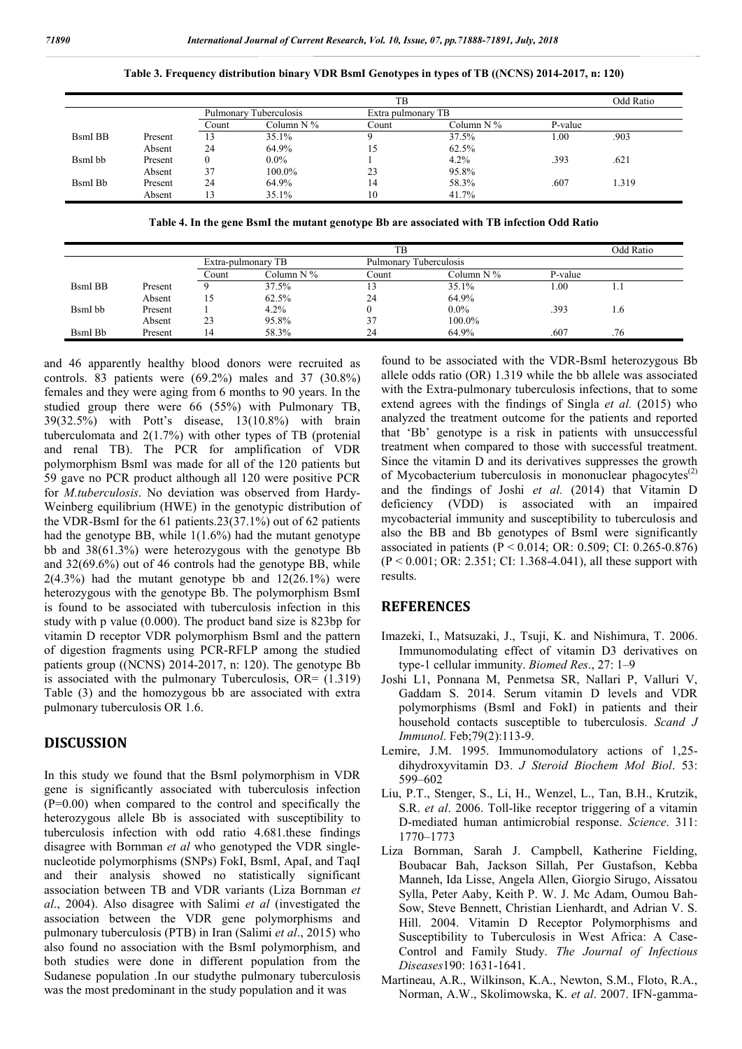|                |         | TB    |                           |       |                    |         | Odd Ratio |
|----------------|---------|-------|---------------------------|-------|--------------------|---------|-----------|
|                |         |       | Pulmonary<br>Tuberculosis |       | Extra pulmonary TB |         |           |
|                |         | Count | Column $N\%$              | Count | Column N %         | P-value |           |
| <b>BsmI</b> BB | Present | 13    | 35.1%                     |       | 37.5%              | 00.1    | .903      |
|                | Absent  | 24    | 64.9%                     |       | 62.5%              |         |           |
| BsmI bb        | Present |       | $0.0\%$                   |       | $4.2\%$            | .393    | .621      |
|                | Absent  | 37    | 100.0%                    | 23    | 95.8%              |         |           |
| <b>BsmI</b> Bb | Present | 24    | 64.9%                     | 14    | 58.3%              | .607    | 1.319     |
|                | Absent  | 13    | 35.1%                     | 10    | 41.7%              |         |           |

**Table 3. Frequency distribution binary VDR BsmI Genotypes in types of TB ((NCNS) 2014-2017, n: 120)**

**Table 4. In the gene BsmI the mutant genotype Bb are associated with TB infection Odd Ratio**

|                |         |                    |            | TB                     |            |         | Odd Ratio |  |
|----------------|---------|--------------------|------------|------------------------|------------|---------|-----------|--|
|                |         | Extra-pulmonary TB |            | Pulmonary Tuberculosis |            |         |           |  |
|                |         | Count              | Column N % | Count                  | Column N % | P-value |           |  |
| <b>BsmI</b> BB | Present |                    | 37.5%      |                        | 35.1%      | l.00    | 1.1       |  |
|                | Absent  | 15                 | 62.5%      | 24                     | 64.9%      |         |           |  |
| BsmI bb        | Present |                    | $4.2\%$    |                        | $0.0\%$    | .393    | 1.6       |  |
|                | Absent  | 23                 | 95.8%      | 37                     | 100.0%     |         |           |  |
| BsmI Bb        | Present | 14                 | 58.3%      | 24                     | 64.9%      | .607    | .76       |  |

and 46 apparently healthy blood donors were recruited as controls. 83 patients were (69.2%) males and 37 (30.8%) females and they were aging from 6 months to 90 years. In the studied group there were 66 (55%) with Pulmonary TB, 39(32.5%) with Pott's disease, 13(10.8%) with brain tuberculomata and 2(1.7%) with other types of TB (protenial and renal TB). The PCR for amplification of VDR polymorphism BsmI was made for all of the 120 patients but 59 gave no PCR product although all 120 were positive PCR for *M.tuberculosis*. No deviation was observed from Hardy-Weinberg equilibrium (HWE) in the genotypic distribution of the VDR-BsmI for the 61 patients.23(37.1%) out of 62 patients had the genotype BB, while 1(1.6%) had the mutant genotype bb and 38(61.3%) were heterozygous with the genotype Bb and 32(69.6%) out of 46 controls had the genotype BB, while  $2(4.3\%)$  had the mutant genotype bb and  $12(26.1\%)$  were heterozygous with the genotype Bb. The polymorphism BsmI is found to be associated with tuberculosis infection in this study with p value (0.000). The product band size is 823bp for vitamin D receptor VDR polymorphism BsmI and the pattern of digestion fragments using PCR-RFLP among the studied patients group ((NCNS) 2014-2017, n: 120). The genotype Bb is associated with the pulmonary Tuberculosis,  $OR = (1.319)$ Table (3) and the homozygous bb are associated with extra pulmonary tuberculosis OR 1.6.

#### **DISCUSSION**

In this study we found that the BsmI polymorphism in VDR gene is significantly associated with tuberculosis infection  $(P=0.00)$  when compared to the control and specifically the heterozygous allele Bb is associated with susceptibility to tuberculosis infection with odd ratio 4.681.these findings disagree with Bornman *et al* who genotyped the VDR singlenucleotide polymorphisms (SNPs) FokI, BsmI, ApaI, and TaqI and their analysis showed no statistically significant association between TB and VDR variants (Liza Bornman *et al*., 2004). Also disagree with Salimi *et al* (investigated the association between the VDR gene polymorphisms and pulmonary tuberculosis (PTB) in Iran (Salimi *et al*., 2015) who also found no association with the BsmI polymorphism, and both studies were done in different population from the Sudanese population .In our studythe pulmonary tuberculosis was the most predominant in the study population and it was

found to be associated with the VDR-BsmI heterozygous Bb allele odds ratio (OR) 1.319 while the bb allele was associated with the Extra-pulmonary tuberculosis infections, that to some extend agrees with the findings of Singla *et al.* (2015) who analyzed the treatment outcome for the patients and reported that 'Bb' genotype is a risk in patients with unsuccessful treatment when compared to those with successful treatment. Since the vitamin D and its derivatives suppresses the growth of Mycobacterium tuberculosis in mononuclear phagocytes<sup>(2)</sup> and the findings of Joshi *et al.* (2014) that Vitamin D deficiency (VDD) is associated with an impaired mycobacterial immunity and susceptibility to tuberculosis and also the BB and Bb genotypes of BsmI were significantly associated in patients (P < 0.014; OR: 0.509; CI: 0.265-0.876) (P < 0.001; OR: 2.351; CI: 1.368-4.041), all these support with results.

#### **REFERENCES**

- Imazeki, I., Matsuzaki, J., Tsuji, K. and Nishimura, T. 2006. Immunomodulating effect of vitamin D3 derivatives on type-1 cellular immunity. *Biomed Res*., 27: 1–9
- Joshi L1, Ponnana M, Penmetsa SR, Nallari P, Valluri V, Gaddam S. 2014. Serum vitamin D levels and VDR polymorphisms (BsmI and FokI) in patients and their household contacts susceptible to tuberculosis. *Scand J Immunol*. Feb;79(2):113-9.
- Lemire, J.M. 1995. Immunomodulatory actions of 1,25 dihydroxyvitamin D3. *J Steroid Biochem Mol Biol*. 53: 599–602
- Liu, P.T., Stenger, S., Li, H., Wenzel, L., Tan, B.H., Krutzik, S.R. *et al*. 2006. Toll-like receptor triggering of a vitamin D-mediated human antimicrobial response. *Science*. 311: 1770–1773
- Liza Bornman, Sarah J. Campbell, Katherine Fielding, Boubacar Bah, Jackson Sillah, Per Gustafson, Kebba Manneh, Ida Lisse, Angela Allen, Giorgio Sirugo, Aissatou Sylla, Peter Aaby, Keith P. W. J. Mc Adam, Oumou Bah-Sow, Steve Bennett, Christian Lienhardt, and Adrian V. S. Hill. 2004. Vitamin D Receptor Polymorphisms and Susceptibility to Tuberculosis in West Africa: A Case-Control and Family Study. *The Journal of Infectious Diseases*190: 1631-1641.
- Martineau, A.R., Wilkinson, K.A., Newton, S.M., Floto, R.A., Norman, A.W., Skolimowska, K. *et al*. 2007. IFN-gamma-